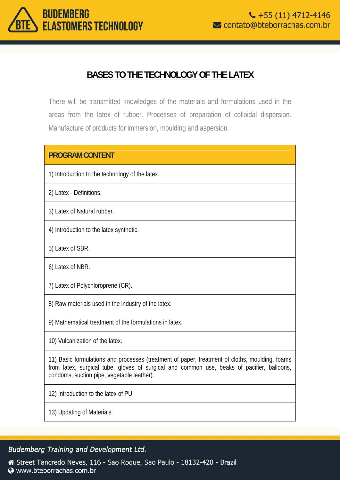

# **BASES TO THE TECHNOLOGY OF THE LATEX**

There will be transmitted knowledges of the materials and formulations used in the areas from the latex of rubber. Processes of preparation of colloidal dispersion. Manufacture of products for immersion, moulding and aspersion.

| <b>PROGRAM CONTENT</b>                                                                                                                                                                                                                     |
|--------------------------------------------------------------------------------------------------------------------------------------------------------------------------------------------------------------------------------------------|
| 1) Introduction to the technology of the latex.                                                                                                                                                                                            |
| 2) Latex - Definitions.                                                                                                                                                                                                                    |
| 3) Latex of Natural rubber.                                                                                                                                                                                                                |
| 4) Introduction to the latex synthetic.                                                                                                                                                                                                    |
| 5) Latex of SBR.                                                                                                                                                                                                                           |
| 6) Latex of NBR.                                                                                                                                                                                                                           |
| 7) Latex of Polychloroprene (CR).                                                                                                                                                                                                          |
| 8) Raw materials used in the industry of the latex.                                                                                                                                                                                        |
| 9) Mathematical treatment of the formulations in latex.                                                                                                                                                                                    |
| 10) Vulcanization of the latex.                                                                                                                                                                                                            |
| 11) Basic formulations and processes (treatment of paper, treatment of cloths, moulding, foams<br>from latex, surgical tube, gloves of surgical and common use, beaks of pacifier, balloons,<br>condoms, suction pipe, vegetable leather). |
| 12) Introduction to the latex of PU.                                                                                                                                                                                                       |
| 13) Updating of Materials.                                                                                                                                                                                                                 |

#### Budemberg Training and Development Ltd.

Street Tancredo Neves, 116 - Sao Roque, Sao Paulo - 18132-420 - Brazil Www.bteborrachas.com.br